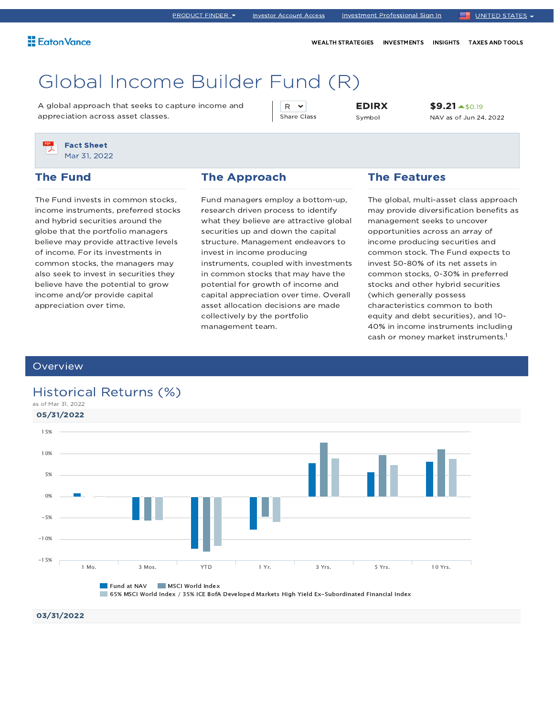# Global Income Builder Fund (R)

A global approach that seeks to capture income and appreciation across asset classes.

R v Share Class EDIRX Symbol

\$9.21 \$0.19 NAV as of Jun 24, 2022

Fact Sheet Mar 31, 2022

### The Fund

The Fund invests in common stocks, income instruments, preferred stocks and hybrid securities around the globe that the portfolio managers believe may provide attractive levels of income. For its investments in common stocks, the managers may also seek to invest in securities they believe have the potential to grow income and/or provide capital appreciation over time.

### The Approach

Fund managers employ a bottom-up, research driven process to identify what they believe are attractive global securities up and down the capital structure. Management endeavors to invest in income producing instruments, coupled with investments in common stocks that may have the potential for growth of income and capital appreciation over time. Overall asset allocation decisions are made collectively by the portfolio management team.

### The Features

The global, multi-asset class approach may provide diversification benefits as management seeks to uncover opportunities across an array of income producing securities and common stock. The Fund expects to invest 50-80% of its net assets in common stocks, 0-30% in preferred stocks and other hybrid securities (which generally possess characteristics common to both equity and debt securities), and 10- 40% in income instruments including cash or money market instruments. 1

### **Overview**

## Historical Returns (%)



65% MSCI World Index / 35% ICE BofA Developed Markets High Yield Ex-Subordinated Financial Index

### 03/31/2022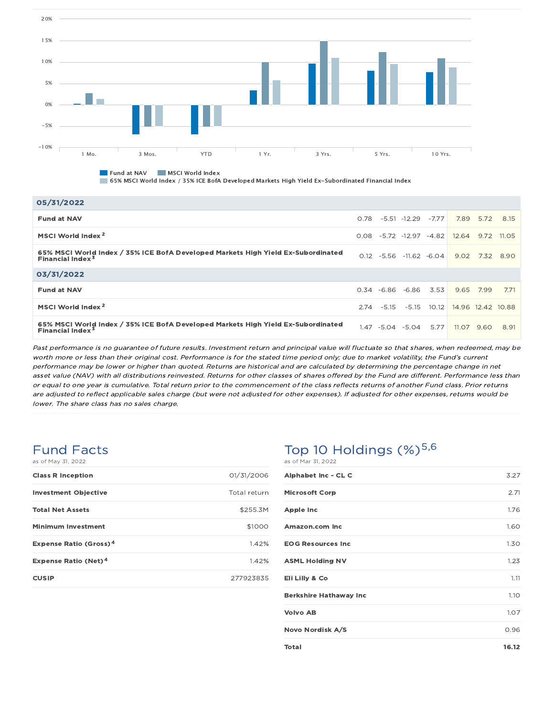

**Fund at NAV MSCI World Index** 

65% MSCI World Index / 35% ICE BofA Developed Markets High Yield Ex-Subordinated Financial Index

| 05/31/2022                                                                                                             |      |                           |         |                   |            |            |
|------------------------------------------------------------------------------------------------------------------------|------|---------------------------|---------|-------------------|------------|------------|
| <b>Fund at NAV</b>                                                                                                     | 0.78 | -5.51 -12.29              | $-7.77$ | 7.89              | 5.72 8.15  |            |
| MSCI World Index <sup>2</sup>                                                                                          |      | $0.08 - 5.72 - 12.97$     | $-4.82$ | 12.64             |            | 9.72 11.05 |
| 65% MSCI World Index / 35% ICE BofA Developed Markets High Yield Ex-Subordinated<br><b>Financial Index<sup>3</sup></b> |      | $0.12 -5.56 -11.62 -6.04$ |         | 9.02              |            | 7.32 8.90  |
| 03/31/2022                                                                                                             |      |                           |         |                   |            |            |
| <b>Fund at NAV</b>                                                                                                     |      | $0.34 -6.86 -6.86$        | 3.53    | 9.65              | 7.99       | 7.71       |
| MSCI World Index <sup>2</sup>                                                                                          | 2.74 | $-5.15 - 5.15$ 10.12      |         | 14.96 12.42 10.88 |            |            |
| 65% MSCI World Index / 35% ICE BofA Developed Markets High Yield Ex-Subordinated<br>Financial Index <sup>3</sup>       |      | 1.47 -5.04 -5.04          | 5.77    |                   | 11.07 9.60 | 8.91       |

Past performance is no guarantee of future results. Investment return and principal value will fluctuate so that shares, when redeemed, may be worth more or less than their original cost. Performance is for the stated time period only; due to market volatility, the Fund's current performance may be lower or higher than quoted. Returns are historical and are calculated by determining the percentage change in net asset value (NAV) with all distributions reinvested. Returns for other classes of shares offered by the Fund are different. Performance less than or equal to one year is cumulative. Total return prior to the commencement of the class reflects returns of another Fund class. Prior returns are adjusted to reflect applicable sales charge (but were not adjusted for other expenses). If adjusted for other expenses, returns would be lower. The share class has no sales charge.

### Fund Facts as of May 31, 2022

| <b>Class R Inception</b>                 | 01/31/2006   |
|------------------------------------------|--------------|
| <b>Investment Objective</b>              | Total return |
| <b>Total Net Assets</b>                  | \$255.3M     |
| <b>Minimum Investment</b>                | \$1000       |
| <b>Expense Ratio (Gross)<sup>4</sup></b> | 1.42%        |
| <b>Expense Ratio (Net)<sup>4</sup></b>   | 1.42%        |
| <b>CUSIP</b>                             | 277923835    |

### Top 10 Holdings  $(\%)^{5,6}$ as of Mar 31, 2022

| Alphabet Inc - CL C           | 3.27  |
|-------------------------------|-------|
| <b>Microsoft Corp</b>         | 2.71  |
| <b>Apple Inc</b>              | 1.76  |
| Amazon.com Inc                | 1.60  |
| <b>EOG Resources Inc.</b>     | 1.30  |
| <b>ASML Holding NV</b>        | 1.23  |
| Eli Lilly & Co                | 1.11  |
| <b>Berkshire Hathaway Inc</b> | 1.10  |
| <b>Volvo AB</b>               | 1.07  |
| Novo Nordisk A/S              | 0.96  |
| Total                         | 16.12 |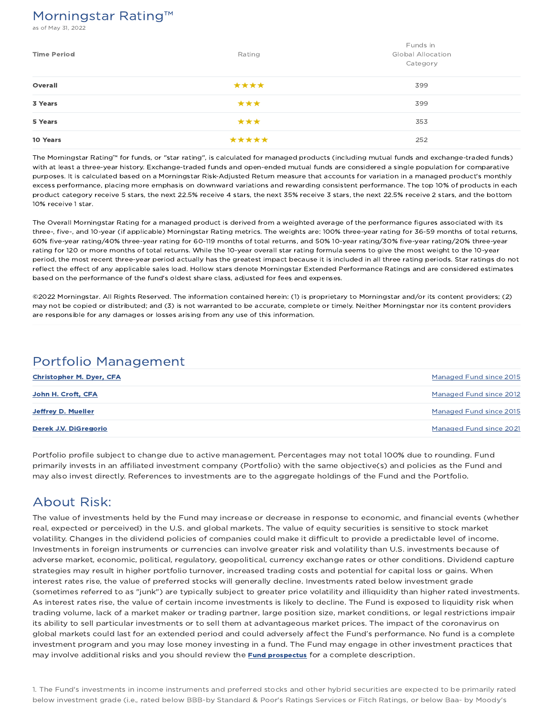## Morningstar Rating™

of May 31, 2022

| <b>Time Period</b> | Rating | Funds in<br><b>Global Allocation</b><br>Category |
|--------------------|--------|--------------------------------------------------|
| Overall            | ****   | 399                                              |
| 3 Years            | ***    | 399                                              |
| 5 Years            | ***    | 353                                              |
| 10 Years           | *****  | 252                                              |

The Morningstar Rating™ for funds, or "star rating", is calculated for managed products (including mutual funds and exchange-traded funds) with at least a three-year history. Exchange-traded funds and open-ended mutual funds are considered a single population for comparative purposes. It is calculated based on a Morningstar Risk-Adjusted Return measure that accounts for variation in a managed product's monthly excess performance, placing more emphasis on downward variations and rewarding consistent performance. The top 10% of products in each product category receive 5 stars, the next 22.5% receive 4 stars, the next 35% receive 3 stars, the next 22.5% receive 2 stars, and the bottom 10% receive 1 star.

The Overall Morningstar Rating for a managed product is derived from a weighted average of the performance figures associated with its three-, five-, and 10-year (if applicable) Morningstar Rating metrics. The weights are: 100% three-year rating for 36-59 months of total returns, 60% five-year rating/40% three-year rating for 60-119 months of total returns, and 50% 10-year rating/30% five-year rating/20% three-year rating for 120 or more months of total returns. While the 10-year overall star rating formula seems to give the most weight to the 10-year period, the most recent three-year period actually has the greatest impact because it is included in all three rating periods. Star ratings do not reflect the effect of any applicable sales load. Hollow stars denote Morningstar Extended Performance Ratings and are considered estimates based on the performance of the fund's oldest share class, adjusted for fees and expenses.

©2022 Morningstar. All Rights Reserved. The information contained herein: (1) is proprietary to Morningstar and/or its content providers; (2) may not be copied or distributed; and (3) is not warranted to be accurate, complete or timely. Neither Morningstar nor its content providers are responsible for any damages or losses arising from any use of this information.

## Portfolio Management

| <b>Christopher M. Dyer, CFA</b> | Managed Fund since 2015        |
|---------------------------------|--------------------------------|
| John H. Croft, CFA              | <b>Managed Fund since 2012</b> |
| Jeffrey D. Mueller              | Managed Fund since 2015        |
| Derek J.V. DiGregorio           | Managed Fund since 2021        |

Portfolio profile subject to change due to active management. Percentages may not total 100% due to rounding. Fund primarily invests in an affiliated investment company (Portfolio) with the same objective(s) and policies as the Fund and may also invest directly. References to investments are to the aggregate holdings of the Fund and the Portfolio.

## About Risk:

The value of investments held by the Fund may increase or decrease in response to economic, and financial events (whether real, expected or perceived) in the U.S. and global markets. The value of equity securities is sensitive to stock market volatility. Changes in the dividend policies of companies could make it difficult to provide a predictable level of income. Investments in foreign instruments or currencies can involve greater risk and volatility than U.S. investments because of adverse market, economic, political, regulatory, geopolitical, currency exchange rates or other conditions. Dividend capture strategies may result in higher portfolio turnover, increased trading costs and potential for capital loss or gains. When interest rates rise, the value of preferred stocks will generally decline. Investments rated below investment grade (sometimes referred to as "junk") are typically subject to greater price volatility and illiquidity than higher rated investments. As interest rates rise, the value of certain income investments is likely to decline. The Fund is exposed to liquidity risk when trading volume, lack of a market maker or trading partner, large position size, market conditions, or legal restrictions impair its ability to sell particular investments or to sell them at advantageous market prices. The impact of the coronavirus on global markets could last for an extended period and could adversely affect the Fund's performance. No fund is a complete investment program and you may lose money investing in a fund. The Fund may engage in other investment practices that may involve additional risks and you should review the **Fund prospectus** for a complete description.

1. The Fund's investments in income instruments and preferred stocks and other hybrid securities are expected to be primarily rated below investment grade (i.e., rated below BBB-by Standard & Poor's Ratings Services or Fitch Ratings, or below Baa- by Moody's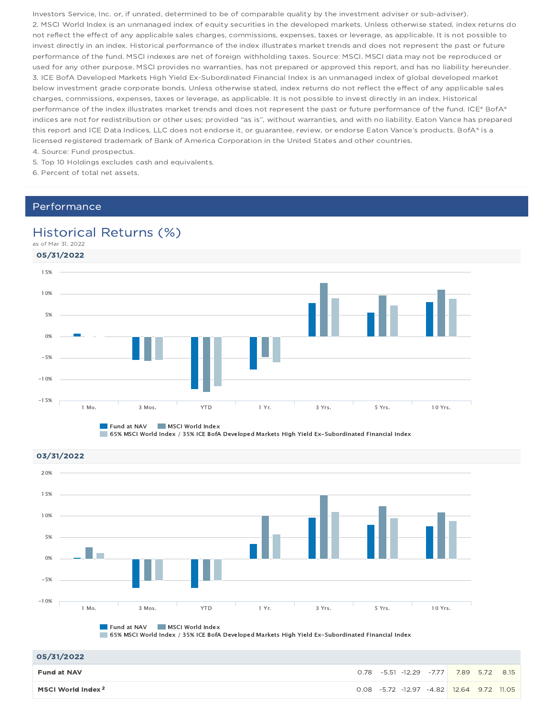Investors Service, Inc. or, if unrated, determined to be of comparable quality by the investment adviser or sub-adviser). 2. MSCI World Index is an unmanaged index of equity securities in the developed markets. Unless otherwise stated, index returns do not reflect the effect of any applicable sales charges, commissions, expenses, taxes or leverage, as applicable. It is not possible to invest directly in an index. Historical performance of the index illustrates market trends and does not represent the past or future performance of the fund. MSCI indexes are net of foreign withholding taxes. Source: MSCI. MSCI data may not be reproduced or used for any other purpose. MSCI provides no warranties, has not prepared or approved this report, and has no liability hereunder. 3. ICE BofA Developed Markets High Yield Ex-Subordinated Financial Index is an unmanaged index of global developed market below investment grade corporate bonds. Unless otherwise stated, index returns do not reflect the effect of any applicable sales charges, commissions, expenses, taxes or leverage, as applicable. It is not possible to invest directly in an index. Historical performance of the index illustrates market trends and does not represent the past or future performance of the fund. ICE® BofA® indices are not for redistribution or other uses; provided "as is", without warranties, and with no liability. Eaton Vance has prepared this report and ICE Data Indices, LLC does not endorse it, or guarantee, review, or endorse Eaton Vance's products. BofA® is a licensed registered trademark of Bank of America Corporation in the United States and other countries.

4. Source: Fund prospectus. 5. Top 10 Holdings excludes cash and equivalents.

6. Percent of total net assets.

## Performance

## Historical Returns (%)

as of Mar 31, 2022



**Fund at NAV MSCI World Index** 

65% MSCI World Index / 35% ICE BofA Developed Markets High Yield Ex-Subordinated Financial Index

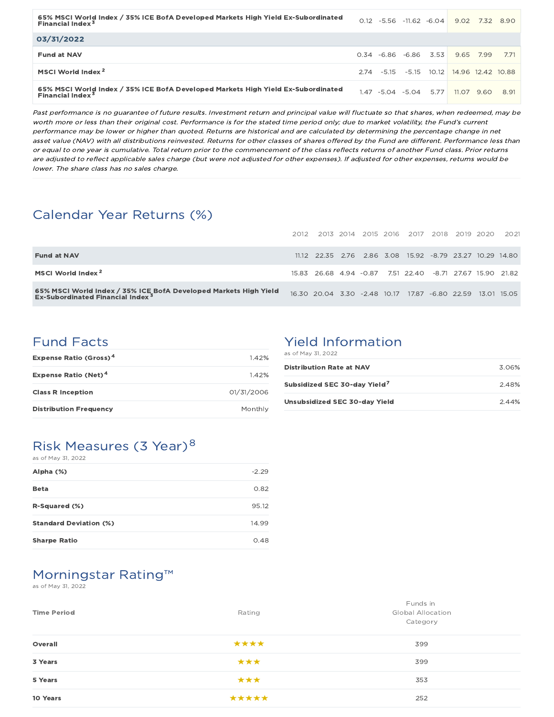| 65% MSCI World Index / 35% ICE BofA Developed Markets High Yield Ex-Subordinated<br>Financial Index <sup>3</sup>       |  | $0.12 -5.56 -11.62 -6.04$ |      | 9.02                                     |      | 7.32 8.90 |
|------------------------------------------------------------------------------------------------------------------------|--|---------------------------|------|------------------------------------------|------|-----------|
| 03/31/2022                                                                                                             |  |                           |      |                                          |      |           |
| <b>Fund at NAV</b>                                                                                                     |  | $0.34 -6.86 -6.86$        | 3.53 | 9.65                                     | 7.99 | 771       |
| MSCI World Index <sup>2</sup>                                                                                          |  |                           |      | 2.74 -5.15 -5.15 10.12 14.96 12.42 10.88 |      |           |
| 65% MSCI World Index / 35% ICE BofA Developed Markets High Yield Ex-Subordinated<br><b>Financial Index<sup>3</sup></b> |  | $1.47 - 5.04 - 5.04$      | 5.77 | 11.07                                    | 9.60 | 8.91      |

Past performance is no guarantee of future results. Investment return and principal value will fluctuate so that shares, when redeemed, may be worth more or less than their original cost. Performance is for the stated time period only; due to market volatility, the Fund's current performance may be lower or higher than quoted. Returns are historical and are calculated by determining the percentage change in net asset value (NAV) with all distributions reinvested. Returns for other classes of shares offered by the Fund are different. Performance less than or equal to one year is cumulative. Total return prior to the commencement of the class reflects returns of another Fund class. Prior returns are adjusted to reflect applicable sales charge (but were not adjusted for other expenses). If adjusted for other expenses, returns would be lower. The share class has no sales charge.

## Calendar Year Returns (%)

|                                                                                                                  | 2012 |                                                            |  | 2013 2014 2015 2016 2017 2018 2019 2020 |  | 2021 |
|------------------------------------------------------------------------------------------------------------------|------|------------------------------------------------------------|--|-----------------------------------------|--|------|
| <b>Fund at NAV</b>                                                                                               |      | 11.12 22.35 2.76 2.86 3.08 15.92 -8.79 23.27 10.29 14.80   |  |                                         |  |      |
| MSCI World Index <sup>2</sup>                                                                                    |      | 15.83 26.68 4.94 -0.87                                     |  | 7.51 22.40 -8.71 27.67 15.90 21.82      |  |      |
| 65% MSCI World Index / 35% ICE BofA Developed Markets High Yield<br>Ex-Subordinated Financial Index <sup>3</sup> |      | 16.30 20.04 3.30 -2.48 10.17 17.87 -6.80 22.59 13.01 15.05 |  |                                         |  |      |

## Fund Facts

| <b>Expense Ratio (Gross)<sup>4</sup></b> | 1.42%      |
|------------------------------------------|------------|
| <b>Expense Ratio (Net)<sup>4</sup></b>   | 142%       |
| <b>Class R Inception</b>                 | 01/31/2006 |
| <b>Distribution Frequency</b>            | Monthly    |

# Yield Information

| as of May 31, 2022 |  |  |  |  |  |  |
|--------------------|--|--|--|--|--|--|
|--------------------|--|--|--|--|--|--|

| <b>Distribution Rate at NAV</b>          | 3.06% |
|------------------------------------------|-------|
| Subsidized SEC 30-day Yield <sup>7</sup> | 2.48% |
| Unsubsidized SEC 30-day Yield            | 2.44% |

### Risk Measures (3 Year)<sup>8</sup> as of May 31, 2022

| Alpha (%)                     | $-2.29$ |
|-------------------------------|---------|
| <b>Beta</b>                   | 0.82    |
| R-Squared (%)                 | 95.12   |
| <b>Standard Deviation (%)</b> | 14.99   |
| <b>Sharpe Ratio</b>           | 0.48    |

## Morningstar Rating™

as of May 31, 2022

| <b>Time Period</b> | Rating | Funds in<br><b>Global Allocation</b><br>Category |
|--------------------|--------|--------------------------------------------------|
| Overall            | ****   | 399                                              |
| 3 Years            | ***    | 399                                              |
| 5 Years            | ***    | 353                                              |
| 10 Years           | *****  | 252                                              |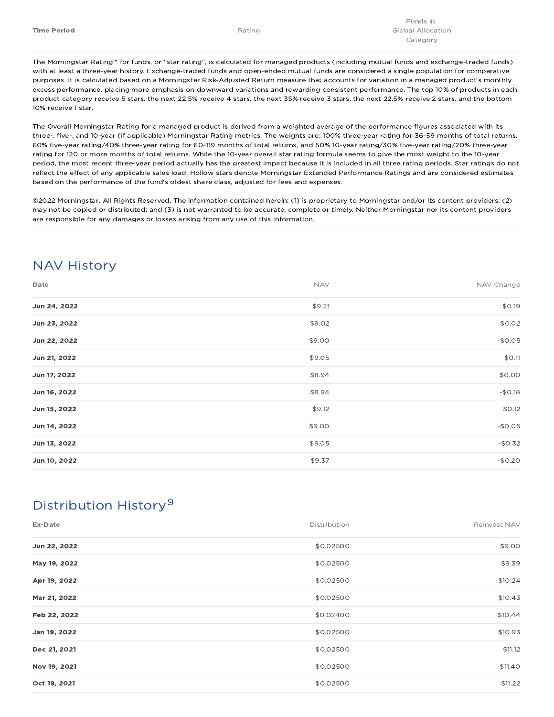The Morningstar Rating™ for funds, or "star rating", is calculated for managed products (including mutual funds and exchange-traded funds) with at least a three-year history. Exchange-traded funds and open-ended mutual funds are considered a single population for comparative purposes. It is calculated based on a Morningstar Risk-Adjusted Return measure that accounts for variation in a managed product's monthly excess performance, placing more emphasis on downward variations and rewarding consistent performance. The top 10% of products in each product category receive 5 stars, the next 22.5% receive 4 stars, the next 35% receive 3 stars, the next 22.5% receive 2 stars, and the bottom 10% receive 1 star.

The Overall Morningstar Rating for a managed product is derived from a weighted average of the performance figures associated with its three-, five-, and 10-year (if applicable) Morningstar Rating metrics. The weights are: 100% three-year rating for 36-59 months of total returns, 60% five-year rating/40% three-year rating for 60-119 months of total returns, and 50% 10-year rating/30% five-year rating/20% three-year rating for 120 or more months of total returns. While the 10-year overall star rating formula seems to give the most weight to the 10-year period, the most recent three-year period actually has the greatest impact because it is included in all three rating periods. Star ratings do not reflect the effect of any applicable sales load. Hollow stars denote Morningstar Extended Performance Ratings and are considered estimates based on the performance of the fund's oldest share class, adjusted for fees and expenses.

©2022 Morningstar. All Rights Reserved. The information contained herein: (1) is proprietary to Morningstar and/or its content providers; (2) may not be copied or distributed; and (3) is not warranted to be accurate, complete or timely. Neither Morningstar nor its content providers are responsible for any damages or losses arising from any use of this information.

# NAV History

| Date         | <b>NAV</b> | NAV Change |
|--------------|------------|------------|
| Jun 24, 2022 | \$9.21     | \$0.19     |
| Jun 23, 2022 | \$9.02     | \$0.02     |
| Jun 22, 2022 | \$9.00     | $-$0.05$   |
| Jun 21, 2022 | \$9.05     | \$0.11     |
| Jun 17, 2022 | \$8.94     | \$0.00     |
| Jun 16, 2022 | \$8.94     | $-$0.18$   |
| Jun 15, 2022 | \$9.12     | \$0.12     |
| Jun 14, 2022 | \$9.00     | $-$0.05$   |
| Jun 13, 2022 | \$9.05     | $-$0.32$   |
| Jun 10, 2022 | \$9.37     | $-$0.20$   |

# Distribution History 9

| Ex-Date      | Distribution | Reinvest NAV |
|--------------|--------------|--------------|
| Jun 22, 2022 | \$0.02500    | \$9.00       |
| May 19, 2022 | \$0.02500    | \$9.39       |
| Apr 19, 2022 | \$0.02500    | \$10.24      |
| Mar 21, 2022 | \$0.02500    | \$10.43      |
| Feb 22, 2022 | \$0.02400    | \$10.44      |
| Jan 19, 2022 | \$0.02500    | \$10.93      |
| Dec 21, 2021 | \$0.02500    | \$11.12      |
| Nov 19, 2021 | \$0.02500    | \$11.40      |
| Oct 19, 2021 | \$0.02500    | \$11.22      |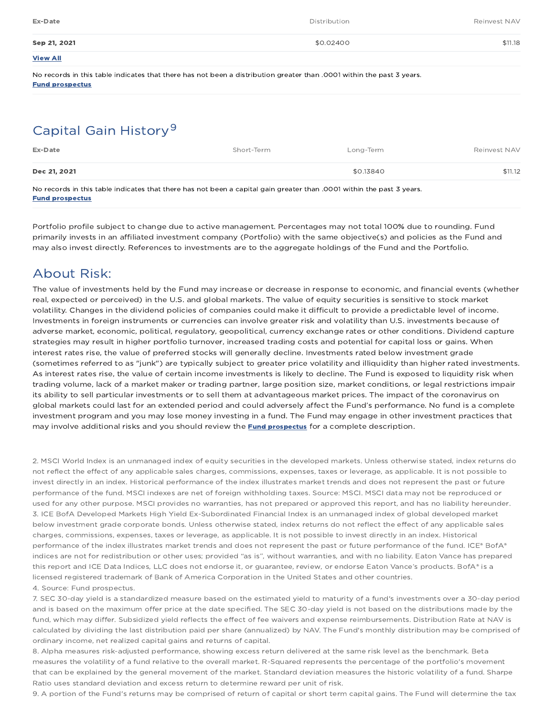| Ex-Date         | Distribution | Reinvest NAV |
|-----------------|--------------|--------------|
| Sep 21, 2021    | \$0.02400    | \$11.18      |
| <b>View All</b> |              |              |

No records in this table indicates that there has not been a distribution greater than .0001 within the past 3 years. Fund prospectus

# Capital Gain History<sup>9</sup>

| Ex-Date                                                                                                               | Short-Term | Long-Term | Reinvest NAV |
|-----------------------------------------------------------------------------------------------------------------------|------------|-----------|--------------|
| Dec 21, 2021                                                                                                          |            | \$0.13840 | \$11.12      |
| Ale yooneda in this toble indicates that thous hos not boon a conital acin questou than 0001 within the noot 7 years. |            |           |              |

No records in this table indicates that there has not been a capital gain greater than .0001 within the past 3 years. Fund prospectus

Portfolio profile subject to change due to active management. Percentages may not total 100% due to rounding. Fund primarily invests in an affiliated investment company (Portfolio) with the same objective(s) and policies as the Fund and may also invest directly. References to investments are to the aggregate holdings of the Fund and the Portfolio.

## About Risk:

The value of investments held by the Fund may increase or decrease in response to economic, and financial events (whether real, expected or perceived) in the U.S. and global markets. The value of equity securities is sensitive to stock market volatility. Changes in the dividend policies of companies could make it difficult to provide a predictable level of income. Investments in foreign instruments or currencies can involve greater risk and volatility than U.S. investments because of adverse market, economic, political, regulatory, geopolitical, currency exchange rates or other conditions. Dividend capture strategies may result in higher portfolio turnover, increased trading costs and potential for capital loss or gains. When interest rates rise, the value of preferred stocks will generally decline. Investments rated below investment grade (sometimes referred to as "junk") are typically subject to greater price volatility and illiquidity than higher rated investments. As interest rates rise, the value of certain income investments is likely to decline. The Fund is exposed to liquidity risk when trading volume, lack of a market maker or trading partner, large position size, market conditions, or legal restrictions impair its ability to sell particular investments or to sell them at advantageous market prices. The impact of the coronavirus on global markets could last for an extended period and could adversely affect the Fund's performance. No fund is a complete investment program and you may lose money investing in a fund. The Fund may engage in other investment practices that may involve additional risks and you should review the **Fund prospectus** for a complete description.

2. MSCI World Index is an unmanaged index of equity securities in the developed markets. Unless otherwise stated, index returns do not reflect the effect of any applicable sales charges, commissions, expenses, taxes or leverage, as applicable. It is not possible to invest directly in an index. Historical performance of the index illustrates market trends and does not represent the past or future performance of the fund. MSCI indexes are net of foreign withholding taxes. Source: MSCI. MSCI data may not be reproduced or used for any other purpose. MSCI provides no warranties, has not prepared or approved this report, and has no liability hereunder. 3. ICE BofA Developed Markets High Yield Ex-Subordinated Financial Index is an unmanaged index of global developed market below investment grade corporate bonds. Unless otherwise stated, index returns do not reflect the effect of any applicable sales charges, commissions, expenses, taxes or leverage, as applicable. It is not possible to invest directly in an index. Historical performance of the index illustrates market trends and does not represent the past or future performance of the fund. ICE® BofA® indices are not for redistribution or other uses; provided "as is", without warranties, and with no liability. Eaton Vance has prepared this report and ICE Data Indices, LLC does not endorse it, or guarantee, review, or endorse Eaton Vance's products. BofA® is a licensed registered trademark of Bank of America Corporation in the United States and other countries. 4. Source: Fund prospectus.

7. SEC 30-day yield is a standardized measure based on the estimated yield to maturity of a fund's investments over a 30-day period and is based on the maximum offer price at the date specified. The SEC 30-day yield is not based on the distributions made by the fund, which may differ. Subsidized yield reflects the effect of fee waivers and expense reimbursements. Distribution Rate at NAV is calculated by dividing the last distribution paid per share (annualized) by NAV. The Fund's monthly distribution may be comprised of ordinary income, net realized capital gains and returns of capital.

8. Alpha measures risk-adjusted performance, showing excess return delivered at the same risk level as the benchmark. Beta measures the volatility of a fund relative to the overall market. R-Squared represents the percentage of the portfolio's movement that can be explained by the general movement of the market. Standard deviation measures the historic volatility of a fund. Sharpe Ratio uses standard deviation and excess return to determine reward per unit of risk.

9. A portion of the Fund's returns may be comprised of return of capital or short term capital gains. The Fund will determine the tax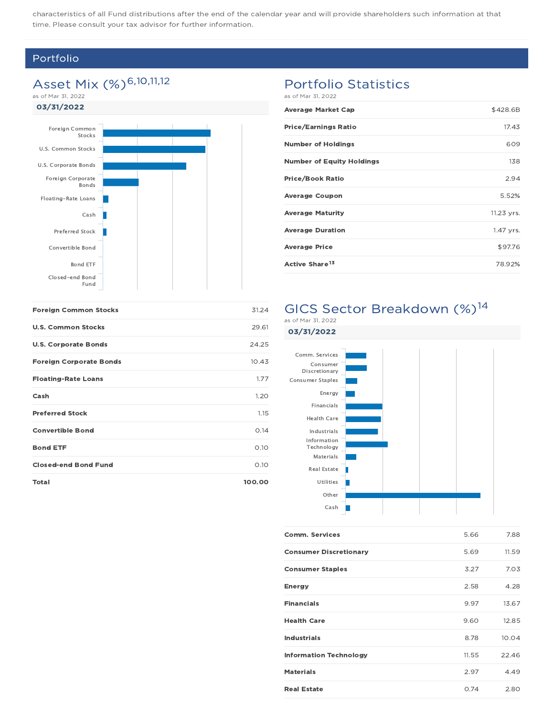characteristics of all Fund distributions after the end of the calendar year and will provide shareholders such information at that time. Please consult your tax advisor for further information.

### Portfolio

# Asset Mix (%)<sup>6,10,11,12</sup>

as of Mar 31, 2022

### 03/31/2022



## Portfolio Statistics

as of Mar 31, 2022

| <b>Average Market Cap</b>        | \$428.6B   |
|----------------------------------|------------|
| <b>Price/Earnings Ratio</b>      | 17.43      |
| <b>Number of Holdings</b>        | 609        |
| <b>Number of Equity Holdings</b> | 138        |
| <b>Price/Book Ratio</b>          | 2.94       |
| <b>Average Coupon</b>            | 5.52%      |
| <b>Average Maturity</b>          | 11.23 yrs. |
| <b>Average Duration</b>          | 1.47 yrs.  |
| <b>Average Price</b>             | \$97.76    |
| Active Share <sup>13</sup>       | 78.92%     |

# GICS Sector Breakdown (%)<sup>14</sup>

| <b>Foreign Common Stocks</b>   | 31.24  |
|--------------------------------|--------|
| <b>U.S. Common Stocks</b>      | 29.61  |
| <b>U.S. Corporate Bonds</b>    | 24.25  |
| <b>Foreign Corporate Bonds</b> | 10.43  |
| <b>Floating-Rate Loans</b>     | 1.77   |
| Cash                           | 1.20   |
| <b>Preferred Stock</b>         | 1.15   |
| <b>Convertible Bond</b>        | O.14   |
| <b>Bond ETF</b>                | 0.10   |
| <b>Closed-end Bond Fund</b>    | O.1O   |
| <b>Total</b>                   | 100.00 |

### as of Mar 31, 2022



| <b>Comm. Services</b>         | 5.66  | 7.88  |
|-------------------------------|-------|-------|
| <b>Consumer Discretionary</b> | 5.69  | 11.59 |
| <b>Consumer Staples</b>       | 3.27  | 7.03  |
| <b>Energy</b>                 | 2.58  | 4.28  |
| <b>Financials</b>             | 9.97  | 13.67 |
| <b>Health Care</b>            | 9.60  | 12.85 |
| <b>Industrials</b>            | 8.78  | 10.04 |
| <b>Information Technology</b> | 11.55 | 22.46 |
| <b>Materials</b>              | 2.97  | 4.49  |
| <b>Real Estate</b>            | 0.74  | 2.80  |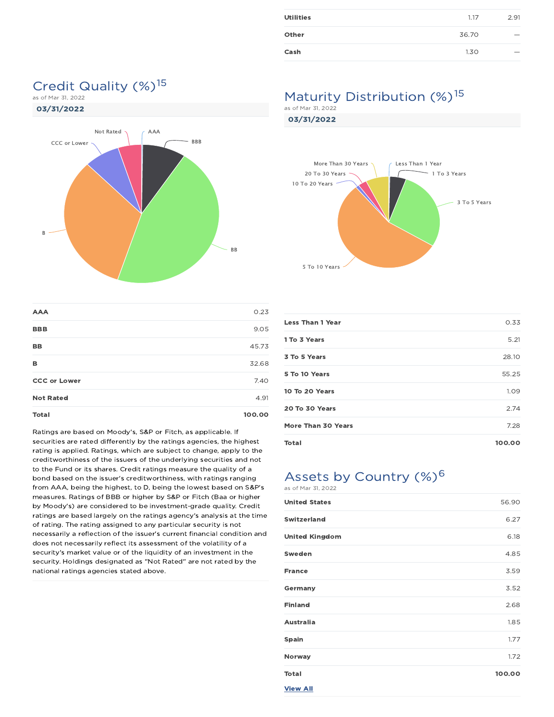| <b>Utilities</b> | 1.17  | 2.91                     |
|------------------|-------|--------------------------|
| Other            | 36.70 | $\overline{\phantom{a}}$ |
| Cash             | 1.30  |                          |

# Credit Quality (%)<sup>15</sup>

as of Mar 31, 2022



| <b>AAA</b>          | 0.23   |
|---------------------|--------|
| <b>BBB</b>          | 9.05   |
| BB                  | 45.73  |
| в                   | 32.68  |
| <b>CCC or Lower</b> | 7.40   |
| <b>Not Rated</b>    | 4.91   |
| <b>Total</b>        | 100.00 |

Ratings are based on Moody's, S&P or Fitch, as applicable. If securities are rated differently by the ratings agencies, the highest rating is applied. Ratings, which are subject to change, apply to the creditworthiness of the issuers of the underlying securities and not to the Fund or its shares. Credit ratings measure the quality of a bond based on the issuer's creditworthiness, with ratings ranging from AAA, being the highest, to D, being the lowest based on S&P's measures. Ratings of BBB or higher by S&P or Fitch (Baa or higher by Moody's) are considered to be investment-grade quality. Credit ratings are based largely on the ratings agency's analysis at the time of rating. The rating assigned to any particular security is not necessarily a reflection of the issuer's current financial condition and does not necessarily reflect its assessment of the volatility of a security's market value or of the liquidity of an investment in the security. Holdings designated as "Not Rated" are not rated by the national ratings agencies stated above.

# Maturity Distribution (%)<sup>15</sup>

as of Mar 31, 2022

03/31/2022



| <b>Less Than 1 Year</b> | 0.33   |
|-------------------------|--------|
| 1 To 3 Years            | 5.21   |
| 3 To 5 Years            | 28.10  |
| 5 To 10 Years           | 55.25  |
| 10 To 20 Years          | 1.09   |
| 20 To 30 Years          | 2.74   |
| More Than 30 Years      | 7.28   |
| Total                   | 100.00 |

# Assets by Country (%)<sup>6</sup>

as of Mar 31, 2022

| <b>United States</b>  | 56.90  |
|-----------------------|--------|
| <b>Switzerland</b>    | 6.27   |
| <b>United Kingdom</b> | 6.18   |
| Sweden                | 4.85   |
| <b>France</b>         | 3.59   |
| Germany               | 3.52   |
| <b>Finland</b>        | 2.68   |
| <b>Australia</b>      | 1.85   |
| <b>Spain</b>          | 1.77   |
| Norway                | 1.72   |
| <b>Total</b>          | 100.00 |
| <b>View All</b>       |        |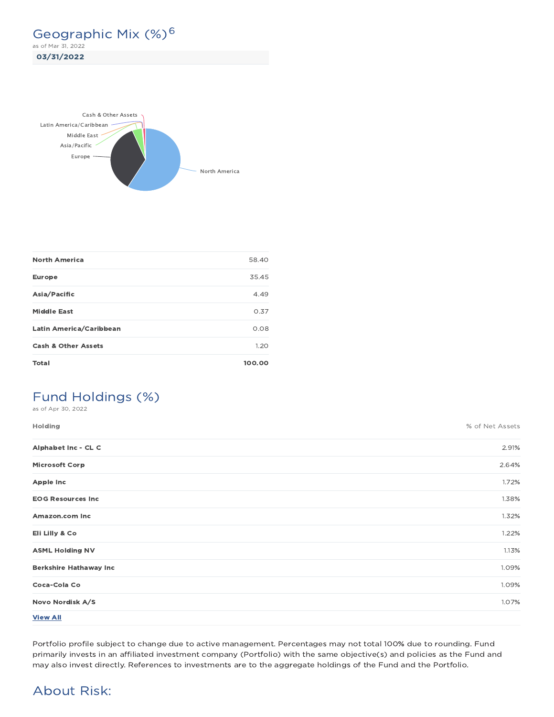Geographic Mix (%)<sup>6</sup> as of Mar 31, 2022

03/31/2022



| <b>North America</b>           | 58.40  |
|--------------------------------|--------|
| <b>Europe</b>                  | 35.45  |
| Asia/Pacific                   | 4.49   |
| <b>Middle East</b>             | 0.37   |
| Latin America/Caribbean        | 0.08   |
| <b>Cash &amp; Other Assets</b> | 1.20   |
| Total                          | 100.00 |

# Fund Holdings (%)

as of Apr 30, 2022

| Holding                       | % of Net Assets |
|-------------------------------|-----------------|
| Alphabet Inc - CL C           | 2.91%           |
| <b>Microsoft Corp</b>         | 2.64%           |
| <b>Apple Inc</b>              | 1.72%           |
| <b>EOG Resources Inc</b>      | 1.38%           |
| Amazon.com Inc                | 1.32%           |
| Eli Lilly & Co                | 1.22%           |
| <b>ASML Holding NV</b>        | 1.13%           |
| <b>Berkshire Hathaway Inc</b> | 1.09%           |
| Coca-Cola Co                  | 1.09%           |
| Novo Nordisk A/S              | 1.07%           |
| <b>View All</b>               |                 |

Portfolio profile subject to change due to active management. Percentages may not total 100% due to rounding. Fund primarily invests in an affiliated investment company (Portfolio) with the same objective(s) and policies as the Fund and may also invest directly. References to investments are to the aggregate holdings of the Fund and the Portfolio.

## About Risk: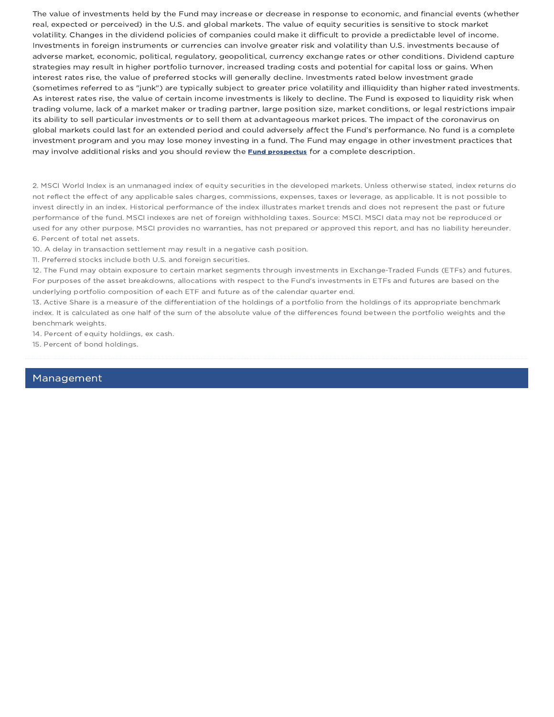The value of investments held by the Fund may increase or decrease in response to economic, and financial events (whether real, expected or perceived) in the U.S. and global markets. The value of equity securities is sensitive to stock market volatility. Changes in the dividend policies of companies could make it difficult to provide a predictable level of income. Investments in foreign instruments or currencies can involve greater risk and volatility than U.S. investments because of adverse market, economic, political, regulatory, geopolitical, currency exchange rates or other conditions. Dividend capture strategies may result in higher portfolio turnover, increased trading costs and potential for capital loss or gains. When interest rates rise, the value of preferred stocks will generally decline. Investments rated below investment grade (sometimes referred to as "junk") are typically subject to greater price volatility and illiquidity than higher rated investments. As interest rates rise, the value of certain income investments is likely to decline. The Fund is exposed to liquidity risk when trading volume, lack of a market maker or trading partner, large position size, market conditions, or legal restrictions impair its ability to sell particular investments or to sell them at advantageous market prices. The impact of the coronavirus on global markets could last for an extended period and could adversely affect the Fund's performance. No fund is a complete investment program and you may lose money investing in a fund. The Fund may engage in other investment practices that may involve additional risks and you should review the **Fund prospectus** for a complete description.

2. MSCI World Index is an unmanaged index of equity securities in the developed markets. Unless otherwise stated, index returns do not reflect the effect of any applicable sales charges, commissions, expenses, taxes or leverage, as applicable. It is not possible to invest directly in an index. Historical performance of the index illustrates market trends and does not represent the past or future performance of the fund. MSCI indexes are net of foreign withholding taxes. Source: MSCI. MSCI data may not be reproduced or used for any other purpose. MSCI provides no warranties, has not prepared or approved this report, and has no liability hereunder. 6. Percent of total net assets.

10. A delay in transaction settlement may result in a negative cash position.

11. Preferred stocks include both U.S. and foreign securities.

12. The Fund may obtain exposure to certain market segments through investments in Exchange-Traded Funds (ETFs) and futures. For purposes of the asset breakdowns, allocations with respect to the Fund's investments in ETFs and futures are based on the underlying portfolio composition of each ETF and future as of the calendar quarter end.

13. Active Share is a measure of the differentiation of the holdings of a portfolio from the holdings of its appropriate benchmark index. It is calculated as one half of the sum of the absolute value of the differences found between the portfolio weights and the benchmark weights.

14. Percent of equity holdings, ex cash.

15. Percent of bond holdings.

### Management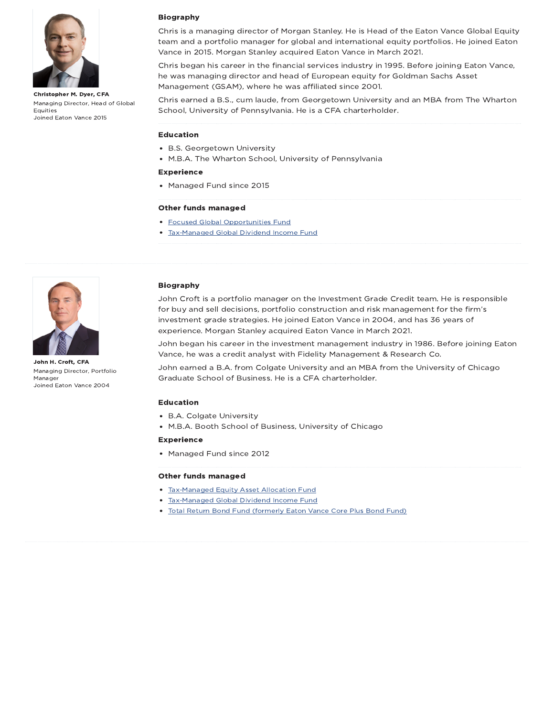

Christopher M. Dyer, CFA Managing Director, Head of Global Equities Joined Eaton Vance 2015

### Biography

Chris is a managing director of Morgan Stanley. He is Head of the Eaton Vance Global Equity team and a portfolio manager for global and international equity portfolios. He joined Eaton Vance in 2015. Morgan Stanley acquired Eaton Vance in March 2021.

Chris began his career in the financial services industry in 1995. Before joining Eaton Vance, he was managing director and head of European equity for Goldman Sachs Asset Management (GSAM), where he was affiliated since 2001.

Chris earned a B.S., cum laude, from Georgetown University and an MBA from The Wharton School, University of Pennsylvania. He is a CFA charterholder.

### Education

- B.S. Georgetown University
- M.B.A. The Wharton School, University of Pennsylvania

#### Experience

• Managed Fund since 2015

### Other funds managed

- Focused Global Opportunities Fund
- Tax-Managed Global Dividend Income Fund



John H. Croft, CFA Managing Director, Portfolio Manager Joined Eaton Vance 2004

#### Biography

John Croft is a portfolio manager on the Investment Grade Credit team. He is responsible for buy and sell decisions, portfolio construction and risk management for the firm's investment grade strategies. He joined Eaton Vance in 2004, and has 36 years of experience. Morgan Stanley acquired Eaton Vance in March 2021.

John began his career in the investment management industry in 1986. Before joining Eaton Vance, he was a credit analyst with Fidelity Management & Research Co.

John earned a B.A. from Colgate University and an MBA from the University of Chicago Graduate School of Business. He is a CFA charterholder.

#### Education

- B.A. Colgate University
- M.B.A. Booth School of Business, University of Chicago

#### Experience

Managed Fund since 2012

#### Other funds managed

- Tax-Managed Equity Asset Allocation Fund
- Tax-Managed Global Dividend Income Fund
- Total Return Bond Fund (formerly Eaton Vance Core Plus Bond Fund)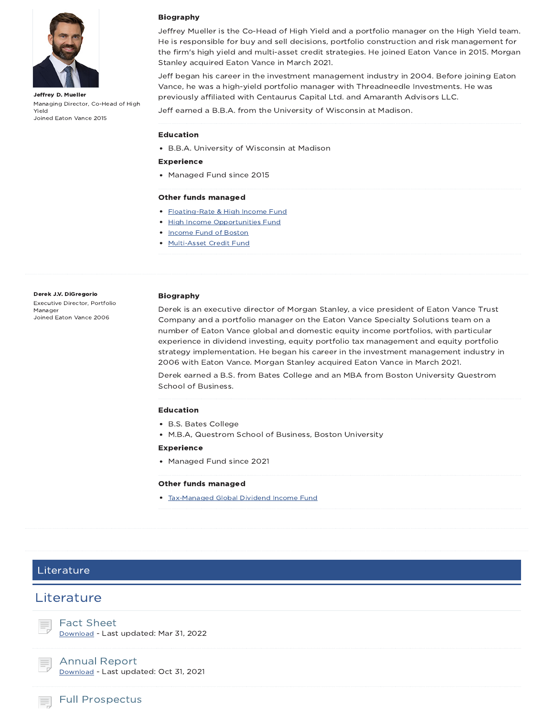

Jeffrey D. Mueller Managing Director, Co-Head of High Yield Joined Eaton Vance 2015

### Biography

Jeffrey Mueller is the Co-Head of High Yield and a portfolio manager on the High Yield team. He is responsible for buy and sell decisions, portfolio construction and risk management for the firm's high yield and multi-asset credit strategies. He joined Eaton Vance in 2015. Morgan Stanley acquired Eaton Vance in March 2021.

Jeff began his career in the investment management industry in 2004. Before joining Eaton Vance, he was a high-yield portfolio manager with Threadneedle Investments. He was previously affiliated with Centaurus Capital Ltd. and Amaranth Advisors LLC.

Jeff earned a B.B.A. from the University of Wisconsin at Madison.

#### Education

B.B.A. University of Wisconsin at Madison

#### Experience

Managed Fund since 2015

#### Other funds managed

- Floating-Rate & High Income Fund
- High Income Opportunities Fund
- Income Fund of Boston
- Multi-Asset Credit Fund

#### Derek J.V. DiGregorio

Executive Director, Portfolio Manager Joined Eaton Vance 2006

#### Biography

Derek is an executive director of Morgan Stanley, a vice president of Eaton Vance Trust Company and a portfolio manager on the Eaton Vance Specialty Solutions team on a number of Eaton Vance global and domestic equity income portfolios, with particular experience in dividend investing, equity portfolio tax management and equity portfolio strategy implementation. He began his career in the investment management industry in 2006 with Eaton Vance. Morgan Stanley acquired Eaton Vance in March 2021.

Derek earned a B.S. from Bates College and an MBA from Boston University Questrom School of Business.

#### Education

- B.S. Bates College
- M.B.A, Questrom School of Business, Boston University

### Experience

• Managed Fund since 2021

#### Other funds managed

Tax-Managed Global Dividend Income Fund

### Literature

## **Literature**



Download - Last updated: Mar 31, 2022

Annual Report Download - Last updated: Oct 31, 2021

Full Prospectus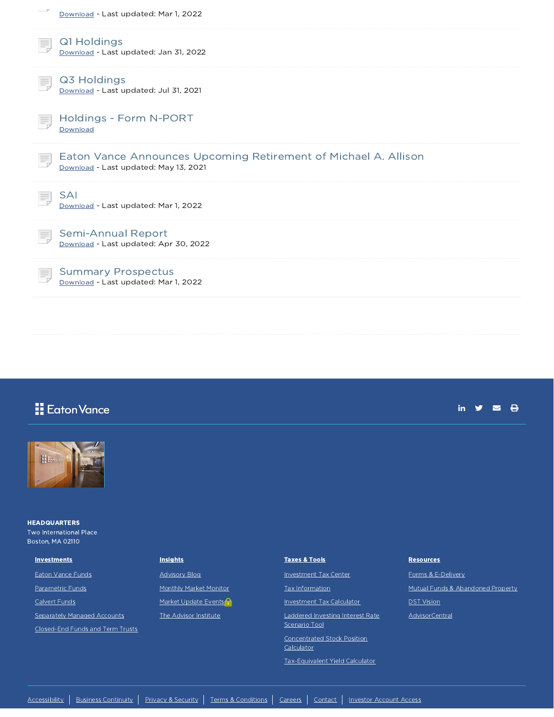| $-$<br>Download - Last updated: Mar 1, 2022                                                              |
|----------------------------------------------------------------------------------------------------------|
| Q1 Holdings<br>F.<br>Download - Last updated: Jan 31, 2022                                               |
| Q3 Holdings<br>Download - Last updated: Jul 31, 2021                                                     |
| Holdings - Form N-PORT<br>Ħ,<br>Download                                                                 |
| Eaton Vance Announces Upcoming Retirement of Michael A. Allison<br>Download - Last updated: May 13, 2021 |
| <b>SAI</b><br>Download - Last updated: Mar 1, 2022                                                       |
| Semi-Annual Report<br>Download - Last updated: Apr 30, 2022                                              |
| <b>Summary Prospectus</b><br>Download - Last updated: Mar 1, 2022                                        |

|  | <b>E</b> dton Vance |
|--|---------------------|
|--|---------------------|

## in  $y = \theta$



**HEADQUARTERS** Two International Place Boston, MA 02110

#### **Investments**

Eaton Vance Funds

Parametric Funds

Calvert Funds

Separately Managed Accounts

Closed-End Funds and Term Trusts

**Insights** 

Advisory Blog Monthly Market Monitor Market Update Events<sup>2</sup> The Advisor Institute

### Taxes & Tools

Investment Tax Center

Tax Information

Investment Tax Calculator

Laddered Investing Interest Rate Scenario Tool

Concentrated Stock Position **Calculator** 

Tax-Equivalent Yield Calculator

### **Resources**

Forms & E-Delivery Mutual Funds & Abandoned Property DST Vision AdvisorCentral